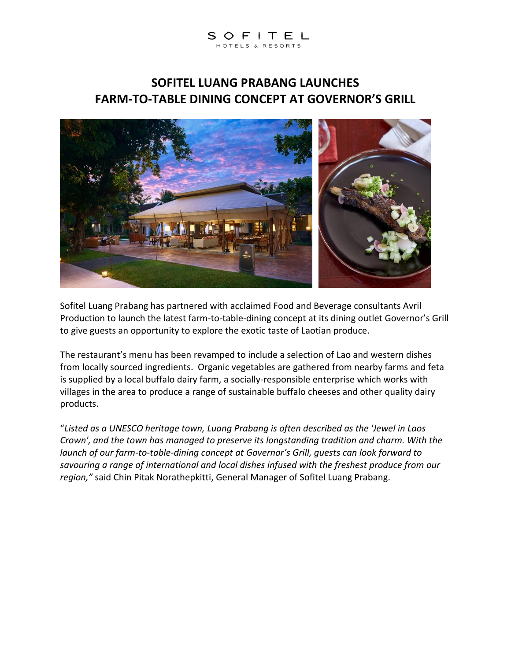# SOFITEL

### **SOFITEL LUANG PRABANG LAUNCHES FARM-TO-TABLE DINING CONCEPT AT GOVERNOR'S GRILL**



Sofitel Luang Prabang has partnered with acclaimed Food and Beverage consultants Avril Production to launch the latest farm-to-table-dining concept at its dining outlet Governor's Grill to give guests an opportunity to explore the exotic taste of Laotian produce.

The restaurant's menu has been revamped to include a selection of Lao and western dishes from locally sourced ingredients. Organic vegetables are gathered from nearby farms and feta is supplied by a local buffalo dairy farm, a socially-responsible enterprise which works with villages in the area to produce a range of sustainable buffalo cheeses and other quality dairy products.

"*Listed as a UNESCO heritage town, Luang Prabang is often described as the 'Jewel in Laos Crown', and the town has managed to preserve its longstanding tradition and charm. With the launch of our farm-to-table-dining concept at Governor's Grill, guests can look forward to savouring a range of international and local dishes infused with the freshest produce from our region,"* said Chin Pitak Norathepkitti, General Manager of Sofitel Luang Prabang.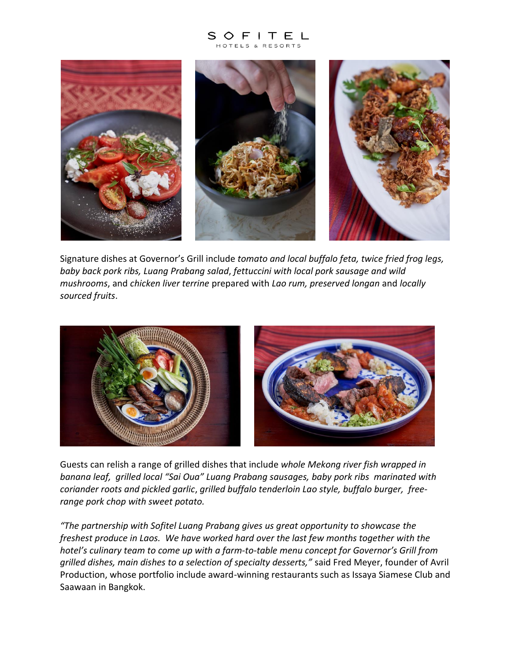## SOFITEL



Signature dishes at Governor's Grill include *tomato and local buffalo feta, twice fried frog legs, baby back pork ribs, Luang Prabang salad*, *fettuccini with local pork sausage and wild mushrooms*, and *chicken liver terrine* prepared with *Lao rum, preserved longan* and *locally sourced fruits*.



Guests can relish a range of grilled dishes that include *whole Mekong river fish wrapped in banana leaf, grilled local "Sai Oua" Luang Prabang sausages, baby pork ribs marinated with coriander roots and pickled garlic*, *grilled buffalo tenderloin Lao style, buffalo burger, freerange pork chop with sweet potato.*

*"The partnership with Sofitel Luang Prabang gives us great opportunity to showcase the freshest produce in Laos. We have worked hard over the last few months together with the hotel's culinary team to come up with a farm-to-table menu concept for Governor's Grill from grilled dishes, main dishes to a selection of specialty desserts,"* said Fred Meyer, founder of Avril Production, whose portfolio include award-winning restaurants such as Issaya Siamese Club and Saawaan in Bangkok.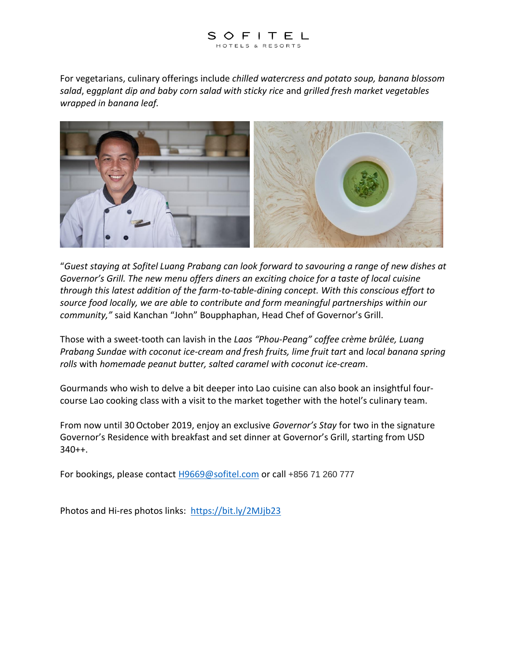

For vegetarians, culinary offerings include *chilled watercress and potato soup, banana blossom salad*, e*ggplant dip and baby corn salad with sticky rice* and *grilled fresh market vegetables wrapped in banana leaf.*



"*Guest staying at Sofitel Luang Prabang can look forward to savouring a range of new dishes at Governor's Grill. The new menu offers diners an exciting choice for a taste of local cuisine through this latest addition of the farm-to-table-dining concept. With this conscious effort to source food locally, we are able to contribute and form meaningful partnerships within our community,"* said Kanchan "John" Boupphaphan, Head Chef of Governor's Grill.

Those with a sweet-tooth can lavish in the *Laos "Phou-Peang" coffee crème brûlée, Luang Prabang Sundae with coconut ice-cream and fresh fruits, lime fruit tart* and *local banana spring rolls* with *homemade peanut butter, salted caramel with coconut ice-cream*.

Gourmands who wish to delve a bit deeper into Lao cuisine can also book an insightful fourcourse Lao cooking class with a visit to the market together with the hotel's culinary team.

From now until 30October 2019, enjoy an exclusive *Governor's Stay* for two in the signature Governor's Residence with breakfast and set dinner at Governor's Grill, starting from USD  $340++$ .

For bookings, please contact [H9669@sofitel.com](mailto:H9669@sofitel.com) or call +856 71 260 777

Photos and Hi-res photos links: <https://bit.ly/2MJjb23>